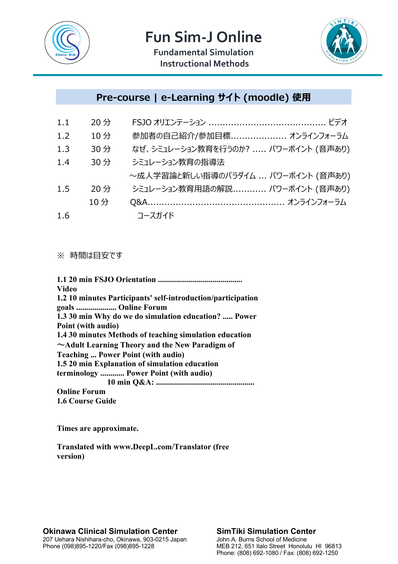



**Fundamental Simulation Instructional Methods**

## **Pre-course | e-Learning サイト (moodle) 使用**

| 1.1 | 20分 |                                     |
|-----|-----|-------------------------------------|
| 1.2 | 10分 | 参加者の自己紹介/参加目標 オンラインフォーラム            |
| 1,3 | 30分 | なぜ、シミュレーション教育を行うのか?  パワーポイント (音声あり) |
| 1.4 | 30分 | シミュレーション教育の指導法                      |
|     |     | ~成人学習論と新しい指導のパラダイム  パワーポイント (音声あり)  |
| 1.5 | 20分 | シミュレーション教育用語の解説 パワーポイント (音声あり)      |
|     | 10分 |                                     |
| 1.6 |     | コースガイド                              |

### ※ 時間は目安です

| Video                                                        |
|--------------------------------------------------------------|
| 1.2 10 minutes Participants' self-introduction/participation |
| goals  Online Forum                                          |
| 1.3 30 min Why do we do simulation education?  Power         |
| Point (with audio)                                           |
| 1.4 30 minutes Methods of teaching simulation education      |
| $\sim$ Adult Learning Theory and the New Paradigm of         |
| <b>Teaching  Power Point (with audio)</b>                    |
| 1.5 20 min Explanation of simulation education               |
| terminology  Power Point (with audio)                        |
|                                                              |
| <b>Online Forum</b>                                          |
| <b>1.6 Course Guide</b>                                      |

**Times are approximate.**

**Translated with www.DeepL.com/Translator (free version)**

#### **Okinawa Clinical Simulation Center** 207 Uehara Nishihara-cho, Okinawa, 903-0215 Japan Phone (098)895-1220/Fax (098)895-1228

#### **SimTiki Simulation Center** John A. Burns School of Medicine MEB 212, 651 Ilalo Street Honolulu HI 96813 Phone: (808) 692-1080 / Fax: (808) 692-1250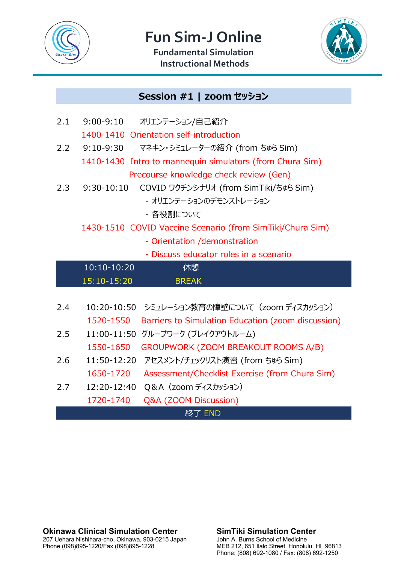

**Fun Sim-J Online** 

**Fundamental Simulation Instructional Methods**



# **Session #1 | zoom セッション**

| 2.1                                                       | $9:00 - 9:10$<br>オリエンテーション/自己紹介                                 |  |  |  |  |
|-----------------------------------------------------------|-----------------------------------------------------------------|--|--|--|--|
|                                                           | 1400-1410 Orientation self-introduction                         |  |  |  |  |
| 2.2                                                       | 9:10-9:30<br>マネキン・シミュレーターの紹介 (from ちゅら Sim)                     |  |  |  |  |
|                                                           | 1410-1430 Intro to mannequin simulators (from Chura Sim)        |  |  |  |  |
|                                                           | Precourse knowledge check review (Gen)                          |  |  |  |  |
| 2.3                                                       | COVID ワクチンシナリオ (from SimTiki/ちゅら Sim)<br>$9:30-10:10$           |  |  |  |  |
|                                                           | - オリエンテーションのデモンストレーション                                          |  |  |  |  |
|                                                           | - 各役割について                                                       |  |  |  |  |
| 1430-1510 COVID Vaccine Scenario (from SimTiki/Chura Sim) |                                                                 |  |  |  |  |
|                                                           | - Orientation / demonstration                                   |  |  |  |  |
|                                                           | - Discuss educator roles in a scenario                          |  |  |  |  |
|                                                           | 10:10-10:20<br>休憩                                               |  |  |  |  |
|                                                           | 15:10-15:20<br><b>BREAK</b>                                     |  |  |  |  |
|                                                           |                                                                 |  |  |  |  |
|                                                           |                                                                 |  |  |  |  |
| 2.4                                                       | 10:20-10:50 シミュレーション教育の障壁について (zoom ディスカッション)                   |  |  |  |  |
|                                                           | 1520-1550<br>Barriers to Simulation Education (zoom discussion) |  |  |  |  |
| 2.5                                                       | 11:00-11:50<br>グループワーク (ブレイクアウトルーム)                             |  |  |  |  |
|                                                           | 1550-1650<br>GROUPWORK (ZOOM BREAKOUT ROOMS A/B)                |  |  |  |  |
| 2.6                                                       | 11:50-12:20<br>アセスメント/チェックリスト演習 (from ちゅら Sim)                  |  |  |  |  |
|                                                           | 1650-1720<br>Assessment/Checklist Exercise (from Chura Sim)     |  |  |  |  |
| 2.7                                                       | Q&A (zoom ディスカッション)<br>12:20-12:40                              |  |  |  |  |
|                                                           | 1720-1740<br>Q&A (ZOOM Discussion)                              |  |  |  |  |

**Okinawa Clinical Simulation Center** 207 Uehara Nishihara-cho, Okinawa, 903-0215 Japan Phone (098)895-1220/Fax (098)895-1228

**SimTiki Simulation Center** John A. Burns School of Medicine MEB 212, 651 Ilalo Street Honolulu HI 96813 Phone: (808) 692-1080 / Fax: (808) 692-1250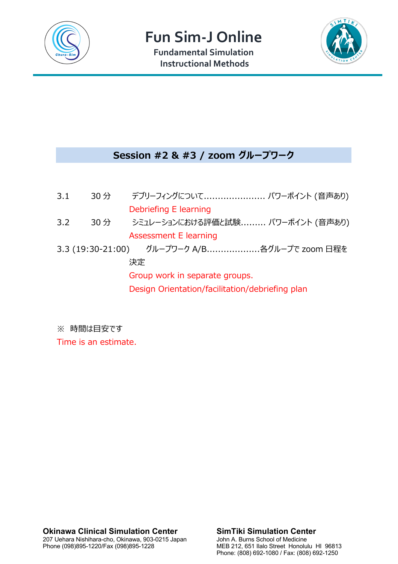

**Fun Sim-J Online** 

**Fundamental Simulation Instructional Methods**



### **Session #2 & #3 / zoom グループワーク**

| 3.1 | 30分 | デブリーフィングについて パワーポイント (音声あり)                     |
|-----|-----|-------------------------------------------------|
|     |     | Debriefing E learning                           |
| 3.2 | 30分 | シミュレーションにおける評価と試験 パワーポイント (音声あり)                |
|     |     | Assessment E learning                           |
|     |     | 3.3 (19:30-21:00) グループワーク A/B各グループで zoom 日程を    |
|     |     | 決定                                              |
|     |     | Group work in separate groups.                  |
|     |     | Design Orientation/facilitation/debriefing plan |
|     |     |                                                 |

※ 時間は目安です

Time is an estimate.